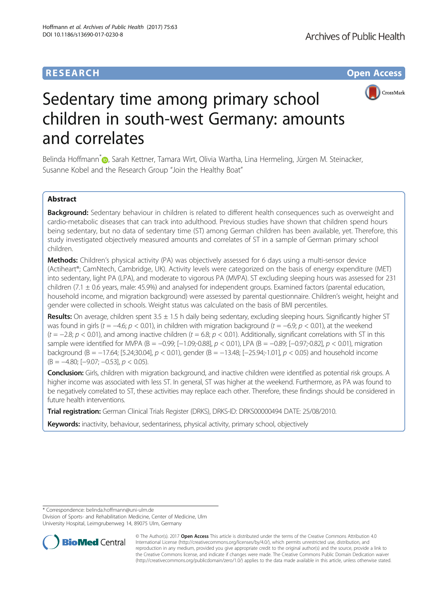## **RESEARCH CHE Open Access**



# Sedentary time among primary school children in south-west Germany: amounts and correlates

Belinda Hoffmann<sup>\*</sup> <sub>(D</sub>[,](http://orcid.org/0000-0001-5956-5629) Sarah Kettner, Tamara Wirt, Olivia Wartha, Lina Hermeling, Jürgen M. Steinacker, Susanne Kobel and the Research Group "Join the Healthy Boat"

## Abstract

Background: Sedentary behaviour in children is related to different health consequences such as overweight and cardio-metabolic diseases that can track into adulthood. Previous studies have shown that children spend hours being sedentary, but no data of sedentary time (ST) among German children has been available, yet. Therefore, this study investigated objectively measured amounts and correlates of ST in a sample of German primary school children.

Methods: Children's physical activity (PA) was objectively assessed for 6 days using a multi-sensor device (Actiheart®; CamNtech, Cambridge, UK). Activity levels were categorized on the basis of energy expenditure (MET) into sedentary, light PA (LPA), and moderate to vigorous PA (MVPA). ST excluding sleeping hours was assessed for 231 children (7.1  $\pm$  0.6 years, male: 45.9%) and analysed for independent groups. Examined factors (parental education, household income, and migration background) were assessed by parental questionnaire. Children's weight, height and gender were collected in schools. Weight status was calculated on the basis of BMI percentiles.

**Results:** On average, children spent  $3.5 \pm 1.5$  h daily being sedentary, excluding sleeping hours. Significantly higher ST was found in girls ( $t = -4.6$ ;  $p < 0.01$ ), in children with migration background ( $t = -6.9$ ;  $p < 0.01$ ), at the weekend  $(t = -2.8; p < 0.01)$ , and among inactive children  $(t = 6.8; p < 0.01)$ . Additionally, significant correlations with ST in this sample were identified for MVPA (B = −0.99; [−1.09;-0.88], p < 0.01), LPA (B = −0.89; [−0.97;-0.82], p < 0.01), migration background (B = -17.64; [5.24;30.04],  $p < 0.01$ ), gender (B = -13.48; [-25.94;-1.01],  $p < 0.05$ ) and household income  $(B = -4.80; [-9.07; -0.53], p < 0.05)$ .

Conclusion: Girls, children with migration background, and inactive children were identified as potential risk groups. A higher income was associated with less ST. In general, ST was higher at the weekend. Furthermore, as PA was found to be negatively correlated to ST, these activities may replace each other. Therefore, these findings should be considered in future health interventions.

Trial registration: German Clinical Trials Register (DRKS), DRKS-ID: [DRKS00000494](http://www.drks.de/drks_web/navigate.do?navigationId=trial.HTML&TRIAL_ID=DRKS00000494) DATE: 25/08/2010.

Keywords: inactivity, behaviour, sedentariness, physical activity, primary school, objectively

\* Correspondence: [belinda.hoffmann@uni-ulm.de](mailto:belinda.hoffmann@uni-ulm.de)

Division of Sports- and Rehabilitation Medicine, Center of Medicine, Ulm University Hospital, Leimgrubenweg 14, 89075 Ulm, Germany



© The Author(s). 2017 **Open Access** This article is distributed under the terms of the Creative Commons Attribution 4.0 International License [\(http://creativecommons.org/licenses/by/4.0/](http://creativecommons.org/licenses/by/4.0/)), which permits unrestricted use, distribution, and reproduction in any medium, provided you give appropriate credit to the original author(s) and the source, provide a link to the Creative Commons license, and indicate if changes were made. The Creative Commons Public Domain Dedication waiver [\(http://creativecommons.org/publicdomain/zero/1.0/](http://creativecommons.org/publicdomain/zero/1.0/)) applies to the data made available in this article, unless otherwise stated.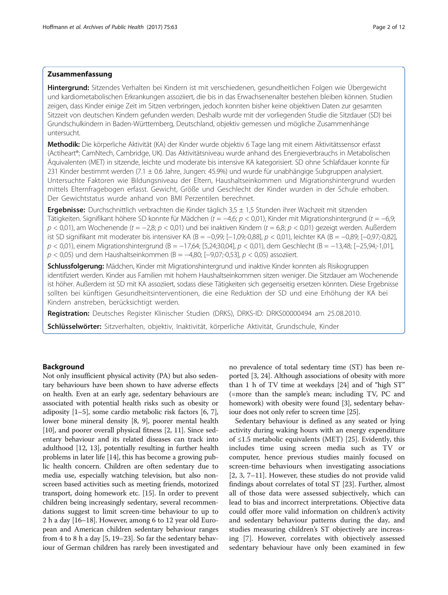## Zusammenfassung

Hintergrund: Sitzendes Verhalten bei Kindern ist mit verschiedenen, gesundheitlichen Folgen wie Übergewicht und kardiometabolischen Erkrankungen assoziiert, die bis in das Erwachsenenalter bestehen bleiben können. Studien zeigen, dass Kinder einige Zeit im Sitzen verbringen, jedoch konnten bisher keine objektiven Daten zur gesamten Sitzzeit von deutschen Kindern gefunden werden. Deshalb wurde mit der vorliegenden Studie die Sitzdauer (SD) bei Grundschulkindern in Baden-Württemberg, Deutschland, objektiv gemessen und mögliche Zusammenhänge untersucht.

Methodik: Die körperliche Aktivität (KA) der Kinder wurde objektiv 6 Tage lang mit einem Aktivitätssensor erfasst (Actiheart®; CamNtech, Cambridge, UK). Das Aktivitätsniveau wurde anhand des Energieverbrauchs in Metabolischen Äquivalenten (MET) in sitzende, leichte und moderate bis intensive KA kategorisiert. SD ohne Schlafdauer konnte für 231 Kinder bestimmt werden (7.1 ± 0.6 Jahre, Jungen: 45.9%) und wurde für unabhängige Subgruppen analysiert. Untersuchte Faktoren wie Bildungsniveau der Eltern, Haushaltseinkommen und Migrationshintergrund wurden mittels Elternfragebogen erfasst. Gewicht, Größe und Geschlecht der Kinder wurden in der Schule erhoben. Der Gewichtstatus wurde anhand von BMI Perzentilen berechnet.

Ergebnisse: Durchschnittlich verbrachten die Kinder täglich 3,5 ± 1,5 Stunden ihrer Wachzeit mit sitzenden Tätigkeiten. Signifikant höhere SD konnte für Mädchen (t = −4,6; p < 0,01), Kinder mit Migrationshintergrund (t = −6,9; p < 0,01), am Wochenende (t = −2,8; p < 0,01) und bei inaktiven Kindern (t = 6,8; p < 0,01) gezeigt werden. Außerdem ist SD signifikant mit moderater bis intensiver KA (B = −0,99; [−1,09;-0,88], p < 0,01), leichter KA (B = −0,89; [−0,97;-0,82], p < 0,01), einem Migrationshintergrund (B = −17,64; [5,24;30,04], p < 0,01), dem Geschlecht (B = −13,48; [−25,94;-1,01], p < 0,05) und dem Haushaltseinkommen (B = −4,80; [−9,07;-0,53], p < 0,05) assoziiert.

Schlussfolgerung: Mädchen, Kinder mit Migrationshintergrund und inaktive Kinder konnten als Risikogruppen identifiziert werden. Kinder aus Familien mit hohem Haushaltseinkommen sitzen weniger. Die Sitzdauer am Wochenende ist höher. Außerdem ist SD mit KA assoziiert, sodass diese Tätigkeiten sich gegenseitig ersetzen könnten. Diese Ergebnisse sollten bei künftigen Gesundheitsinterventionen, die eine Reduktion der SD und eine Erhöhung der KA bei Kindern anstreben, berücksichtigt werden.

Registration: Deutsches Register Klinischer Studien (DRKS), DRKS-ID: DRKS00000494 am 25.08.2010.

Schlüsselwörter: Sitzverhalten, objektiv, Inaktivität, körperliche Aktivität, Grundschule, Kinder

## Background

Not only insufficient physical activity (PA) but also sedentary behaviours have been shown to have adverse effects on health. Even at an early age, sedentary behaviours are associated with potential health risks such as obesity or adiposity [[1](#page-9-0)–[5](#page-9-0)], some cardio metabolic risk factors [\[6, 7](#page-9-0)], lower bone mineral density [[8](#page-9-0), [9\]](#page-9-0), poorer mental health [[10](#page-9-0)], and poorer overall physical fitness [\[2](#page-9-0), [11](#page-9-0)]. Since sedentary behaviour and its related diseases can track into adulthood [\[12, 13](#page-10-0)], potentially resulting in further health problems in later life [\[14\]](#page-10-0), this has become a growing public health concern. Children are often sedentary due to media use, especially watching television, but also nonscreen based activities such as meeting friends, motorized transport, doing homework etc. [[15](#page-10-0)]. In order to prevent children being increasingly sedentary, several recommendations suggest to limit screen-time behaviour to up to 2 h a day [\[16](#page-10-0)–[18](#page-10-0)]. However, among 6 to 12 year old European and American children sedentary behaviour ranges from 4 to 8 h a day [\[5](#page-9-0), [19](#page-10-0)–[23\]](#page-10-0). So far the sedentary behaviour of German children has rarely been investigated and

no prevalence of total sedentary time (ST) has been reported [\[3,](#page-9-0) [24](#page-10-0)]. Although associations of obesity with more than 1 h of TV time at weekdays [[24](#page-10-0)] and of "high ST" (=more than the sample's mean; including TV, PC and homework) with obesity were found [\[3](#page-9-0)], sedentary behaviour does not only refer to screen time [\[25\]](#page-10-0).

Sedentary behaviour is defined as any seated or lying activity during waking hours with an energy expenditure of ≤1.5 metabolic equivalents (MET) [[25](#page-10-0)]. Evidently, this includes time using screen media such as TV or computer, hence previous studies mainly focused on screen-time behaviours when investigating associations [[2, 3](#page-9-0), [7](#page-9-0)–[11](#page-9-0)]. However, these studies do not provide valid findings about correlates of total ST [\[23](#page-10-0)]. Further, almost all of those data were assessed subjectively, which can lead to bias and incorrect interpretations. Objective data could offer more valid information on children's activity and sedentary behaviour patterns during the day, and studies measuring children's ST objectively are increasing [\[7](#page-9-0)]. However, correlates with objectively assessed sedentary behaviour have only been examined in few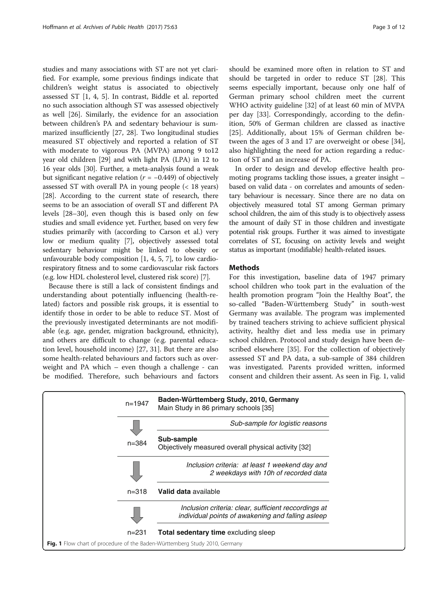studies and many associations with ST are not yet clarified. For example, some previous findings indicate that children's weight status is associated to objectively assessed ST [[1, 4, 5\]](#page-9-0). In contrast, Biddle et al. reported no such association although ST was assessed objectively as well [\[26\]](#page-10-0). Similarly, the evidence for an association between children's PA and sedentary behaviour is summarized insufficiently [\[27](#page-10-0), [28](#page-10-0)]. Two longitudinal studies measured ST objectively and reported a relation of ST with moderate to vigorous PA (MVPA) among 9 to12 year old children [\[29](#page-10-0)] and with light PA (LPA) in 12 to 16 year olds [\[30\]](#page-10-0). Further, a meta-analysis found a weak but significant negative relation ( $r = -0.449$ ) of objectively assessed ST with overall PA in young people (< 18 years) [[28](#page-10-0)]. According to the current state of research, there seems to be an association of overall ST and different PA levels [[28](#page-10-0)–[30\]](#page-10-0), even though this is based only on few studies and small evidence yet. Further, based on very few studies primarily with (according to Carson et al.) very low or medium quality [\[7](#page-9-0)], objectively assessed total sedentary behaviour might be linked to obesity or unfavourable body composition [\[1](#page-9-0), [4](#page-9-0), [5](#page-9-0), [7](#page-9-0)], to low cardiorespiratory fitness and to some cardiovascular risk factors (e.g. low HDL cholesterol level, clustered risk score) [[7\]](#page-9-0).

Because there is still a lack of consistent findings and understanding about potentially influencing (health-related) factors and possible risk groups, it is essential to identify those in order to be able to reduce ST. Most of the previously investigated determinants are not modifiable (e.g. age, gender, migration background, ethnicity), and others are difficult to change (e.g. parental education level, household income) [\[27](#page-10-0), [31](#page-10-0)]. But there are also some health-related behaviours and factors such as overweight and PA which – even though a challenge - can be modified. Therefore, such behaviours and factors

should be examined more often in relation to ST and should be targeted in order to reduce ST [[28\]](#page-10-0). This seems especially important, because only one half of German primary school children meet the current WHO activity guideline [\[32](#page-10-0)] of at least 60 min of MVPA per day [[33\]](#page-10-0). Correspondingly, according to the definition, 50% of German children are classed as inactive [[25\]](#page-10-0). Additionally, about 15% of German children between the ages of 3 and 17 are overweight or obese [\[34](#page-10-0)], also highlighting the need for action regarding a reduction of ST and an increase of PA.

In order to design and develop effective health promoting programs tackling those issues, a greater insight – based on valid data - on correlates and amounts of sedentary behaviour is necessary. Since there are no data on objectively measured total ST among German primary school children, the aim of this study is to objectively assess the amount of daily ST in those children and investigate potential risk groups. Further it was aimed to investigate correlates of ST, focusing on activity levels and weight status as important (modifiable) health-related issues.

## Methods

For this investigation, baseline data of 1947 primary school children who took part in the evaluation of the health promotion program "Join the Healthy Boat", the so-called "Baden-Württemberg Study" in south-west Germany was available. The program was implemented by trained teachers striving to achieve sufficient physical activity, healthy diet and less media use in primary school children. Protocol and study design have been described elsewhere [\[35\]](#page-10-0). For the collection of objectively assessed ST and PA data, a sub-sample of 384 children was investigated. Parents provided written, informed consent and children their assent. As seen in Fig. 1, valid

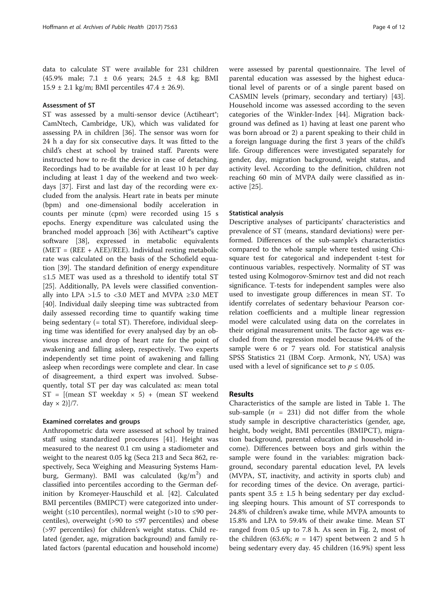data to calculate ST were available for 231 children (45.9% male; 7.1 ± 0.6 years; 24.5 ± 4.8 kg; BMI  $15.9 \pm 2.1$  kg/m; BMI percentiles  $47.4 \pm 26.9$ ).

## Assessment of ST

ST was assessed by a multi-sensor device (Actiheart<sup>®</sup>; CamNtech, Cambridge, UK), which was validated for assessing PA in children [[36\]](#page-10-0). The sensor was worn for 24 h a day for six consecutive days. It was fitted to the child's chest at school by trained staff. Parents were instructed how to re-fit the device in case of detaching. Recordings had to be available for at least 10 h per day including at least 1 day of the weekend and two weekdays [\[37\]](#page-10-0). First and last day of the recording were excluded from the analysis. Heart rate in beats per minute (bpm) and one-dimensional bodily acceleration in counts per minute (cpm) were recorded using 15 s epochs. Energy expenditure was calculated using the branched model approach [[36\]](#page-10-0) with Actiheart<sup>®'</sup>s captive software [[38](#page-10-0)], expressed in metabolic equivalents  $(MET = (REE + AEE)/REE)$ . Individual resting metabolic rate was calculated on the basis of the Schofield equation [[39\]](#page-10-0). The standard definition of energy expenditure ≤1.5 MET was used as a threshold to identify total ST [[25\]](#page-10-0). Additionally, PA levels were classified conventionally into LPA >1.5 to <3.0 MET and MVPA  $\geq$ 3.0 MET [[40\]](#page-10-0). Individual daily sleeping time was subtracted from daily assessed recording time to quantify waking time being sedentary (= total ST). Therefore, individual sleeping time was identified for every analysed day by an obvious increase and drop of heart rate for the point of awakening and falling asleep, respectively. Two experts independently set time point of awakening and falling asleep when recordings were complete and clear. In case of disagreement, a third expert was involved. Subsequently, total ST per day was calculated as: mean total  $ST = [(mean ST weekday \times 5) + (mean ST weekend$ day  $\times$  2)]/7.

#### Examined correlates and groups

Anthropometric data were assessed at school by trained staff using standardized procedures [\[41](#page-10-0)]. Height was measured to the nearest 0.1 cm using a stadiometer and weight to the nearest 0.05 kg (Seca 213 and Seca 862, respectively, Seca Weighing and Measuring Systems Hamburg, Germany). BMI was calculated (kg/m<sup>2</sup>) and classified into percentiles according to the German definition by Kromeyer-Hauschild et al. [[42](#page-10-0)]. Calculated BMI percentiles (BMIPCT) were categorized into underweight (≤10 percentiles), normal weight (>10 to ≤90 percentiles), overweight (>90 to  $\leq$ 97 percentiles) and obese (>97 percentiles) for children's weight status. Child related (gender, age, migration background) and family related factors (parental education and household income)

were assessed by parental questionnaire. The level of parental education was assessed by the highest educational level of parents or of a single parent based on CASMIN levels (primary, secondary and tertiary) [\[43](#page-10-0)]. Household income was assessed according to the seven categories of the Winkler-Index [\[44\]](#page-10-0). Migration background was defined as 1) having at least one parent who was born abroad or 2) a parent speaking to their child in a foreign language during the first 3 years of the child's life. Group differences were investigated separately for gender, day, migration background, weight status, and activity level. According to the definition, children not reaching 60 min of MVPA daily were classified as inactive [\[25](#page-10-0)].

#### Statistical analysis

Descriptive analyses of participants' characteristics and prevalence of ST (means, standard deviations) were performed. Differences of the sub-sample's characteristics compared to the whole sample where tested using Chisquare test for categorical and independent t-test for continuous variables, respectively. Normality of ST was tested using Kolmogorov-Smirnov test and did not reach significance. T-tests for independent samples were also used to investigate group differences in mean ST. To identify correlates of sedentary behaviour Pearson correlation coefficients and a multiple linear regression model were calculated using data on the correlates in their original measurement units. The factor age was excluded from the regression model because 94.4% of the sample were 6 or 7 years old. For statistical analysis SPSS Statistics 21 (IBM Corp. Armonk, NY, USA) was used with a level of significance set to  $p \leq 0.05$ .

## Results

Characteristics of the sample are listed in Table [1](#page-4-0). The sub-sample  $(n = 231)$  did not differ from the whole study sample in descriptive characteristics (gender, age, height, body weight, BMI percentiles (BMIPCT), migration background, parental education and household income). Differences between boys and girls within the sample were found in the variables: migration background, secondary parental education level, PA levels (MVPA, ST, inactivity, and activity in sports club) and for recording times of the device. On average, participants spent  $3.5 \pm 1.5$  h being sedentary per day excluding sleeping hours. This amount of ST corresponds to 24.8% of children's awake time, while MVPA amounts to 15.8% and LPA to 59.4% of their awake time. Mean ST ranged from 0.5 up to 7.8 h. As seen in Fig. [2,](#page-5-0) most of the children (63.6%;  $n = 147$ ) spent between 2 and 5 h being sedentary every day. 45 children (16.9%) spent less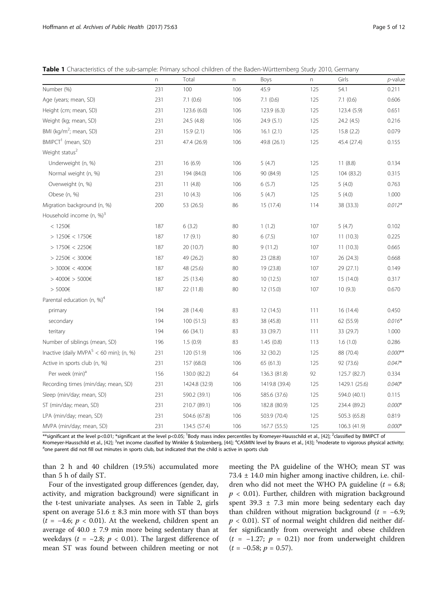<span id="page-4-0"></span>

| <b>Table 1</b> Characteristics of the sub-sample: Primary school children of the Baden-Württemberg Study 2010. Germany |  |  |
|------------------------------------------------------------------------------------------------------------------------|--|--|
|------------------------------------------------------------------------------------------------------------------------|--|--|

|                                          | n   | Total         | n   | Boys          | n   | Girls         | $p$ -value |
|------------------------------------------|-----|---------------|-----|---------------|-----|---------------|------------|
| Number (%)                               | 231 | 100           | 106 | 45.9          | 125 | 54.1          | 0.211      |
| Age (years; mean, SD)                    | 231 | 7.1(0.6)      | 106 | 7.1(0.6)      | 125 | 7.1(0.6)      | 0.606      |
| Height (cm; mean, SD)                    | 231 | 123.6(6.0)    | 106 | 123.9(6.3)    | 125 | 123.4 (5.9)   | 0.651      |
| Weight (kg; mean, SD)                    | 231 | 24.5 (4.8)    | 106 | 24.9 (5.1)    | 125 | 24.2 (4.5)    | 0.216      |
| BMI (kg/m <sup>2</sup> ; mean, SD)       | 231 | 15.9(2.1)     | 106 | 16.1(2.1)     | 125 | 15.8(2.2)     | 0.079      |
| BMIPCT <sup>1</sup> (mean, SD)           | 231 | 47.4 (26.9)   | 106 | 49.8 (26.1)   | 125 | 45.4 (27.4)   | 0.155      |
| Weight status <sup>2</sup>               |     |               |     |               |     |               |            |
| Underweight (n, %)                       | 231 | 16 (6.9)      | 106 | 5(4.7)        | 125 | 11(8.8)       | 0.134      |
| Normal weight (n, %)                     | 231 | 194 (84.0)    | 106 | 90 (84.9)     | 125 | 104 (83.2)    | 0.315      |
| Overweight (n, %)                        | 231 | 11(4.8)       | 106 | 6(5.7)        | 125 | 5(4.0)        | 0.763      |
| Obese (n, %)                             | 231 | 10(4.3)       | 106 | 5(4.7)        | 125 | 5(4.0)        | 1.000      |
| Migration background (n, %)              | 200 | 53 (26.5)     | 86  | 15 (17.4)     | 114 | 38 (33.3)     | $0.012*$   |
| Household income $(n, %)^3$              |     |               |     |               |     |               |            |
| < 1250€                                  | 187 | 6(3.2)        | 80  | 1(1.2)        | 107 | 5(4.7)        | 0.102      |
| > 1250€ < 1750€                          | 187 | 17(9.1)       | 80  | 6(7.5)        | 107 | 11(10.3)      | 0.225      |
| > 1750€ < 2250€                          | 187 | 20 (10.7)     | 80  | 9(11.2)       | 107 | 11(10.3)      | 0.665      |
| > 2250€ < 3000€                          | 187 | 49 (26.2)     | 80  | 23 (28.8)     | 107 | 26 (24.3)     | 0.668      |
| > 3000€ < 4000€                          | 187 | 48 (25.6)     | 80  | 19 (23.8)     | 107 | 29 (27.1)     | 0.149      |
| > 4000€ > 5000€                          | 187 | 25 (13.4)     | 80  | 10(12.5)      | 107 | 15 (14.0)     | 0.317      |
| > 50006                                  | 187 | 22 (11.8)     | 80  | 12 (15.0)     | 107 | 10(9.3)       | 0.670      |
| Parental education (n, %) <sup>4</sup>   |     |               |     |               |     |               |            |
| primary                                  | 194 | 28 (14.4)     | 83  | 12 (14.5)     | 111 | 16 (14.4)     | 0.450      |
| secondary                                | 194 | 100 (51.5)    | 83  | 38 (45.8)     | 111 | 62 (55.9)     | $0.016*$   |
| teritary                                 | 194 | 66 (34.1)     | 83  | 33 (39.7)     | 111 | 33 (29.7)     | 1.000      |
| Number of siblings (mean, SD)            | 196 | 1.5(0.9)      | 83  | 1.45(0.8)     | 113 | 1.6(1.0)      | 0.286      |
| Inactive (daily MVPA $<$ 60 min); (n, %) | 231 | 120 (51.9)    | 106 | 32 (30.2)     | 125 | 88 (70.4)     | $0.000**$  |
| Active in sports club (n, %)             | 231 | 157 (68.0)    | 106 | 65 (61.3)     | 125 | 92 (73.6)     | $0.047*$   |
| Per week (min) <sup>a</sup>              | 156 | 130.0 (82.2)  | 64  | 136.3 (81.8)  | 92  | 125.7 (82.7)  | 0.334      |
| Recording times (min/day; mean, SD)      | 231 | 1424.8 (32.9) | 106 | 1419.8 (39.4) | 125 | 1429.1 (25.6) | $0.040*$   |
| Sleep (min/day; mean, SD)                | 231 | 590.2 (39.1)  | 106 | 585.6 (37.6)  | 125 | 594.0 (40.1)  | 0.115      |
| ST (min/day; mean, SD)                   | 231 | 210.7 (89.1)  | 106 | 182.8 (80.9)  | 125 | 234.4 (89.2)  | $0.000*$   |
| LPA (min/day; mean, SD)                  | 231 | 504.6 (67.8)  | 106 | 503.9 (70.4)  | 125 | 505.3 (65.8)  | 0.819      |
| MVPA (min/day; mean, SD)                 | 231 | 134.5 (57.4)  | 106 | 167.7 (55.5)  | 125 | 106.3 (41.9)  | $0.000*$   |

 $\ast\ast$ significant at the level p<0.01;  $\ast$ significant at the level p<0.05;  $^1$ Body mass index percentiles by Kromeyer-Hausschild et al., [[42](#page-10-0)];  $^2$ classified by BMIPCT of Kromeyer-Hausschild et al., [\[42](#page-10-0)]; <sup>3</sup>net income classified by Winkler & Stolzenberg, [\[44](#page-10-0)]; <sup>4</sup>CASMIN level by Brauns et al., [[43\]](#page-10-0); <sup>5</sup>moderate to vigorous physical activity,<br><sup>a</sup>nne parent did not fill out minutes in sperts <sup>a</sup>one parent did not fill out minutes in sports club, but indicated that the child is active in sports club

than 2 h and 40 children (19.5%) accumulated more than 5 h of daily ST.

Four of the investigated group differences (gender, day, activity, and migration background) were significant in the t-test univariate analyses. As seen in Table [2,](#page-5-0) girls spent on average  $51.6 \pm 8.3$  min more with ST than boys  $(t = -4.6; p < 0.01)$ . At the weekend, children spent an average of  $40.0 \pm 7.9$  min more being sedentary than at weekdays ( $t = -2.8$ ;  $p < 0.01$ ). The largest difference of mean ST was found between children meeting or not

meeting the PA guideline of the WHO; mean ST was 73.4 ± 14.0 min higher among inactive children, i.e. children who did not meet the WHO PA guideline  $(t = 6.8;$  $p < 0.01$ ). Further, children with migration background spent 39.3 ± 7.3 min more being sedentary each day than children without migration background ( $t = -6.9$ ;  $p < 0.01$ ). ST of normal weight children did neither differ significantly from overweight and obese children  $(t = -1.27; p = 0.21)$  nor from underweight children  $(t = -0.58; p = 0.57).$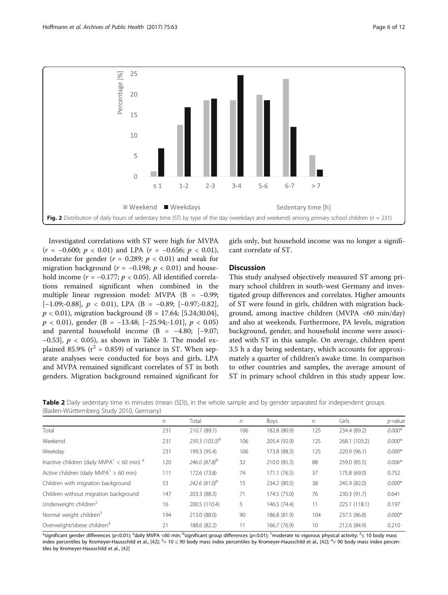<span id="page-5-0"></span>

Investigated correlations with ST were high for MVPA  $(r = -0.600; p < 0.01)$  and LPA  $(r = -0.656; p < 0.01)$ , moderate for gender ( $r = 0.289$ ;  $p < 0.01$ ) and weak for migration background ( $r = -0.198$ ;  $p < 0.01$ ) and household income ( $r = -0.177$ ;  $p < 0.05$ ). All identified correlations remained significant when combined in the multiple linear regression model: MVPA (B = −0.99;  $[-1.09; -0.88], p < 0.01$ , LPA (B = -0.89;  $[-0.97; -0.82],$  $p < 0.01$ ), migration background (B = 17.64; [5.24;30.04],  $p < 0.01$ ), gender (B = -13.48; [-25.94;-1.01],  $p < 0.05$ ) and parental household income  $(B = -4.80; [-9.07;$  $-0.53$ ],  $p < 0.05$ ), as shown in Table [3](#page-6-0). The model explained 85.9% ( $r^2$  = 0.859) of variance in ST. When separate analyses were conducted for boys and girls, LPA and MVPA remained significant correlates of ST in both genders. Migration background remained significant for

girls only, but household income was no longer a significant correlate of ST.

## **Discussion**

This study analysed objectively measured ST among primary school children in south-west Germany and investigated group differences and correlates. Higher amounts of ST were found in girls, children with migration background, among inactive children (MVPA <60 min/day) and also at weekends. Furthermore, PA levels, migration background, gender, and household income were associated with ST in this sample. On average, children spent 3.5 h a day being sedentary, which accounts for approximately a quarter of children's awake time. In comparison to other countries and samples, the average amount of ST in primary school children in this study appear low.

| Table 2 Daily sedentary time in minutes (mean (SD)), in the whole sample and by gender separated for independent groups |  |  |
|-------------------------------------------------------------------------------------------------------------------------|--|--|
| (Baden-Württemberg Study 2010, Germany)                                                                                 |  |  |

|                                                        | n.  | Total                     | n.  | <b>Boys</b>  | n.  | Girls         | p-value  |
|--------------------------------------------------------|-----|---------------------------|-----|--------------|-----|---------------|----------|
| Total                                                  | 231 | 210.7 (89.1)              | 106 | 182.8 (80.9) | 125 | 234.4 (89.2)  | $0.000*$ |
| Weekend                                                | 231 | 239.3 $(103.3)^b$         | 106 | 205.4 (92.9) | 125 | 268.1 (103.2) | $0.000*$ |
| Weekday                                                | 231 | 199.3 (95.4)              | 106 | 173.8 (88.3) | 125 | 220.9 (96.1)  | $0.000*$ |
| Inactive children (daily MVPA $<$ 60 min) <sup>a</sup> | 120 | 246.0 (87.8) <sup>b</sup> | 32  | 210.0 (85.3) | 88  | 259.0 (85.5)  | $0.006*$ |
| Active children (daily MVPA $1 > 60$ min)              | 111 | 172.6 (73.8)              | 74  | 171.1 (76.5) | 37  | 175.8 (69.0)  | 0.752    |
| Children with migration background                     | 53  | 242.6 $(81.0)^b$          | 15  | 234.2 (80.5) | 38  | 245.9 (82.0)  | $0.000*$ |
| Children without migration background                  | 147 | 203.3 (88.3)              | 71  | 174.5 (75.0) | 76  | 230.3 (91.7)  | 0.641    |
| Underweight children <sup>2</sup>                      | 16  | 200.5 (110.4)             | 5   | 146.5 (74.4) | 11  | 225.1 (118.1) | 0.197    |
| Normal weight children <sup>3</sup>                    | 194 | 213.0 (88.0)              | 90  | 186.8 (81.9) | 104 | 237.5 (86.8)  | $0.000*$ |
| Overweight/obese children <sup>4</sup>                 | 21  | 188.6 (82.2)              | 11  | 166.7 (76.9) | 10  | 212.6 (84.9)  | 0.210    |

\*significant gender differences (p<0.01); <sup>a</sup>daily MVPA <60 min; <sup>b</sup>significant group differences (p<0.01); <sup>1</sup>moderate to vigorous physical activity; <sup>2</sup>≤ 10 body mass index percentiles by Kromeyer-Hausschild et al., [[42](#page-10-0)]; <sup>3</sup>> 10 ≤ 90 body mass index percentiles by Kromeyer-Hausschild et al., [\[42\]](#page-10-0); <sup>4</sup>> 90 body mass index percentiles by Kromeyer-Hausschild et al., [\[42\]](#page-10-0)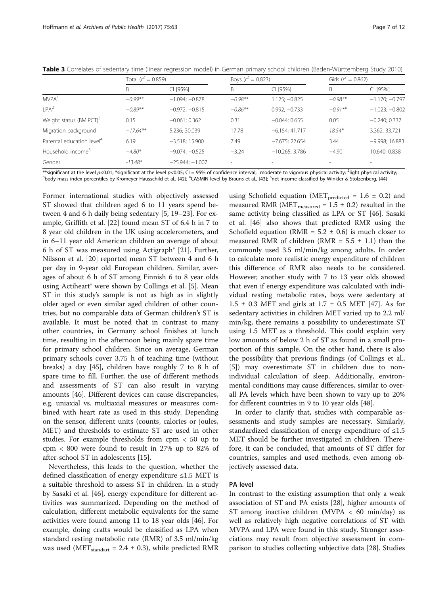|                                       | Total $(r^2 = 0.859)$ |                   | Boys ( $r^2$ = 0.823) |                  | Girls ( $r^2$ = 0.862) |                  |
|---------------------------------------|-----------------------|-------------------|-----------------------|------------------|------------------------|------------------|
|                                       | В                     | CI [95%]          | B                     | CI [95%]         | B                      | CI [95%]         |
| MVPA <sup>1</sup>                     | $-0.99**$             | $-1.094: -0.878$  | $-0.98**$             | $1.125; -0.825$  | $-0.98**$              | $-1.170: -0.797$ |
| LPA <sup>2</sup>                      | $-0.89**$             | $-0.972; -0.815$  | $-0.86***$            | $0.992; -0.733$  | $-0.91**$              | $-1.023; -0.802$ |
| Weight status (BMIPCT) <sup>3</sup>   | 0.15                  | $-0.061; 0.362$   | 0.31                  | $-0.044; 0.655$  | 0.05                   | $-0.240; 0.337$  |
| Migration background                  | $-17.64**$            | 5.236; 30.039     | 17.78                 | $-6.154; 41.717$ | $18.54*$               | 3.362; 33.721    |
| Parental education level <sup>4</sup> | 6.19                  | $-3.518; 15.900$  | 7.49                  | $-7.675; 22.654$ | 3.44                   | $-9.998; 16.883$ |
| Household income <sup>5</sup>         | $-4.80*$              | $-9.074: -0.525$  | $-3.24$               | $-10.265; 3.786$ | $-4.90$                | 10.640; 0.838    |
| Gender                                | $-13.48*$             | $-25.944; -1.007$ |                       |                  |                        |                  |

<span id="page-6-0"></span>Table 3 Correlates of sedentary time (linear regression model) in German primary school children (Baden-Württemberg Study 2010)

\*\*significant at the level p<0.01; \*significant at the level p<0.05; CI = 95% of confidence interval; <sup>1</sup> moderate to vigorous physical activity; <sup>2</sup>light physical activity; 2011 the level post of all activity; 2011 the l body mass index percentiles by Kromeyer-Hausschild et al., [[42\]](#page-10-0); <sup>4</sup>CASMIN level by Brauns et al., [\[43](#page-10-0)]; <sup>5</sup>net income classified by Winkler & Stolzenberg, [[44\]](#page-10-0)

Former international studies with objectively assessed ST showed that children aged 6 to 11 years spend between 4 and 6 h daily being sedentary [\[5](#page-9-0), [19](#page-10-0)–[23\]](#page-10-0). For example, Griffith et al. [[22\]](#page-10-0) found mean ST of 6.4 h in 7 to 8 year old children in the UK using accelerometers, and in 6–11 year old American children an average of about 6 h of ST was measured using Actigraph® [[21](#page-10-0)]. Further, Nilsson et al. [\[20](#page-10-0)] reported mean ST between 4 and 6 h per day in 9-year old European children. Similar, averages of about 6 h of ST among Finnish 6 to 8 year olds using Actiheart® were shown by Collings et al. [[5\]](#page-9-0). Mean ST in this study's sample is not as high as in slightly older aged or even similar aged children of other countries, but no comparable data of German children's ST is available. It must be noted that in contrast to many other countries, in Germany school finishes at lunch time, resulting in the afternoon being mainly spare time for primary school children. Since on average, German primary schools cover 3.75 h of teaching time (without breaks) a day [\[45](#page-10-0)], children have roughly 7 to 8 h of spare time to fill. Further, the use of different methods and assessments of ST can also result in varying amounts [[46\]](#page-10-0). Different devices can cause discrepancies, e.g. uniaxial vs. multiaxial measures or measures combined with heart rate as used in this study. Depending on the sensor, different units (counts, calories or joules, MET) and thresholds to estimate ST are used in other studies. For example thresholds from cpm < 50 up to cpm < 800 were found to result in 27% up to 82% of after-school ST in adolescents [\[15\]](#page-10-0).

Nevertheless, this leads to the question, whether the defined classification of energy expenditure ≤1.5 MET is a suitable threshold to assess ST in children. In a study by Sasaki et al. [[46](#page-10-0)], energy expenditure for different activities was summarized. Depending on the method of calculation, different metabolic equivalents for the same activities were found among 11 to 18 year olds [\[46\]](#page-10-0). For example, doing crafts would be classified as LPA when standard resting metabolic rate (RMR) of 3.5 ml/min/kg was used ( $MET_{\text{standard}} = 2.4 \pm 0.3$ ), while predicted RMR

using Schofield equation (MET<sub>predicted</sub> = 1.6  $\pm$  0.2) and measured RMR ( $MET_{measured} = 1.5 \pm 0.2$ ) resulted in the same activity being classified as LPA or ST [\[46](#page-10-0)]. Sasaki et al. [[46](#page-10-0)] also shows that predicted RMR using the Schofield equation (RMR =  $5.2 \pm 0.6$ ) is much closer to measured RMR of children (RMR =  $5.5 \pm 1.1$ ) than the commonly used 3.5 ml/min/kg among adults. In order to calculate more realistic energy expenditure of children this difference of RMR also needs to be considered. However, another study with 7 to 13 year olds showed that even if energy expenditure was calculated with individual resting metabolic rates, boys were sedentary at  $1.5 \pm 0.3$  MET and girls at  $1.7 \pm 0.5$  MET [[47\]](#page-10-0). As for sedentary activities in children MET varied up to 2.2 ml/ min/kg, there remains a possibility to underestimate ST using 1.5 MET as a threshold. This could explain very low amounts of below 2 h of ST as found in a small proportion of this sample. On the other hand, there is also the possibility that previous findings (of Collings et al., [[5\]](#page-9-0)) may overestimate ST in children due to nonindividual calculation of sleep. Additionally, environmental conditions may cause differences, similar to overall PA levels which have been shown to vary up to 20% for different countries in 9 to 10 year olds [[48\]](#page-10-0).

In order to clarify that, studies with comparable assessments and study samples are necessary. Similarly, standardized classification of energy expenditure of ≤1.5 MET should be further investigated in children. Therefore, it can be concluded, that amounts of ST differ for countries, samples and used methods, even among objectively assessed data.

## PA level

In contrast to the existing assumption that only a weak association of ST and PA exists [[28\]](#page-10-0), higher amounts of ST among inactive children (MVPA < 60 min/day) as well as relatively high negative correlations of ST with MVPA and LPA were found in this study. Stronger associations may result from objective assessment in comparison to studies collecting subjective data [[28\]](#page-10-0). Studies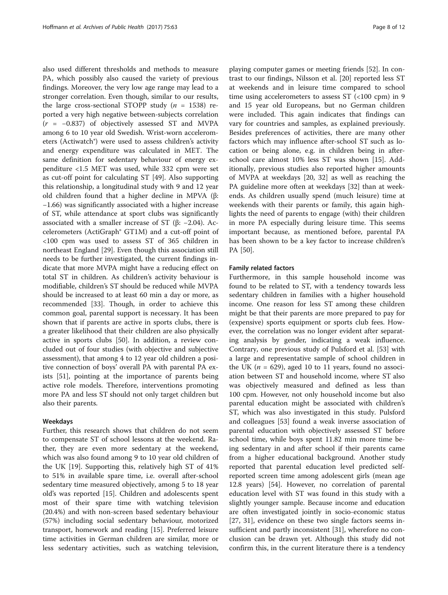also used different thresholds and methods to measure PA, which possibly also caused the variety of previous findings. Moreover, the very low age range may lead to a stronger correlation. Even though, similar to our results, the large cross-sectional STOPP study ( $n = 1538$ ) reported a very high negative between-subjects correlation (r = −0.837) of objectively assessed ST and MVPA among 6 to 10 year old Swedish. Wrist-worn accelerometers (Actiwatch®) were used to assess children's activity and energy expenditure was calculated in MET. The same definition for sedentary behaviour of energy expenditure <1.5 MET was used, while 332 cpm were set as cut-off point for calculating ST [[49](#page-10-0)]. Also supporting this relationship, a longitudinal study with 9 and 12 year old children found that a higher decline in MPVA (β: −1.66) was significantly associated with a higher increase of ST, while attendance at sport clubs was significantly associated with a smaller increase of ST (β:  $-2.04$ ). Accelerometers (ActiGraph® GT1M) and a cut-off point of <100 cpm was used to assess ST of 365 children in northeast England [[29](#page-10-0)]. Even though this association still needs to be further investigated, the current findings indicate that more MVPA might have a reducing effect on total ST in children. As children's activity behaviour is modifiable, children's ST should be reduced while MVPA should be increased to at least 60 min a day or more, as recommended [\[33\]](#page-10-0). Though, in order to achieve this common goal, parental support is necessary. It has been shown that if parents are active in sports clubs, there is a greater likelihood that their children are also physically active in sports clubs [[50\]](#page-10-0). In addition, a review concluded out of four studies (with objective and subjective assessment), that among 4 to 12 year old children a positive connection of boys' overall PA with parental PA exists [\[51](#page-10-0)], pointing at the importance of parents being active role models. Therefore, interventions promoting more PA and less ST should not only target children but also their parents.

#### Weekdays

Further, this research shows that children do not seem to compensate ST of school lessons at the weekend. Rather, they are even more sedentary at the weekend, which was also found among 9 to 10 year old children of the UK [\[19](#page-10-0)]. Supporting this, relatively high ST of 41% to 51% in available spare time, i.e. overall after-school sedentary time measured objectively, among 5 to 18 year old's was reported [[15\]](#page-10-0). Children and adolescents spent most of their spare time with watching television (20.4%) and with non-screen based sedentary behaviour (57%) including social sedentary behaviour, motorized transport, homework and reading [\[15](#page-10-0)]. Preferred leisure time activities in German children are similar, more or less sedentary activities, such as watching television, playing computer games or meeting friends [\[52\]](#page-10-0). In contrast to our findings, Nilsson et al. [[20](#page-10-0)] reported less ST at weekends and in leisure time compared to school time using accelerometers to assess ST (<100 cpm) in 9 and 15 year old Europeans, but no German children were included. This again indicates that findings can vary for countries and samples, as explained previously. Besides preferences of activities, there are many other factors which may influence after-school ST such as location or being alone, e.g. in children being in afterschool care almost 10% less ST was shown [\[15\]](#page-10-0). Additionally, previous studies also reported higher amounts of MVPA at weekdays [[20, 32](#page-10-0)] as well as reaching the PA guideline more often at weekdays [[32](#page-10-0)] than at weekends. As children usually spend (much leisure) time at weekends with their parents or family, this again highlights the need of parents to engage (with) their children in more PA especially during leisure time. This seems important because, as mentioned before, parental PA has been shown to be a key factor to increase children's PA [[50\]](#page-10-0).

#### Family related factors

Furthermore, in this sample household income was found to be related to ST, with a tendency towards less sedentary children in families with a higher household income. One reason for less ST among these children might be that their parents are more prepared to pay for (expensive) sports equipment or sports club fees. However, the correlation was no longer evident after separating analysis by gender, indicating a weak influence. Contrary, one previous study of Pulsford et al. [\[53](#page-10-0)] with a large and representative sample of school children in the UK ( $n = 629$ ), aged 10 to 11 years, found no association between ST and household income, where ST also was objectively measured and defined as less than 100 cpm. However, not only household income but also parental education might be associated with children's ST, which was also investigated in this study. Pulsford and colleagues [\[53](#page-10-0)] found a weak inverse association of parental education with objectively assessed ST before school time, while boys spent 11.82 min more time being sedentary in and after school if their parents came from a higher educational background. Another study reported that parental education level predicted selfreported screen time among adolescent girls (mean age 12.8 years) [\[54\]](#page-10-0). However, no correlation of parental education level with ST was found in this study with a slightly younger sample. Because income and education are often investigated jointly in socio-economic status [[27, 31\]](#page-10-0), evidence on these two single factors seems insufficient and partly inconsistent [[31\]](#page-10-0), wherefore no conclusion can be drawn yet. Although this study did not confirm this, in the current literature there is a tendency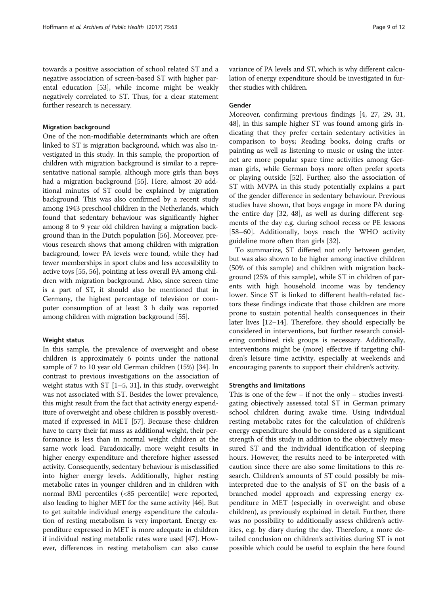towards a positive association of school related ST and a negative association of screen-based ST with higher parental education [\[53\]](#page-10-0), while income might be weakly negatively correlated to ST. Thus, for a clear statement further research is necessary.

#### Migration background

One of the non-modifiable determinants which are often linked to ST is migration background, which was also investigated in this study. In this sample, the proportion of children with migration background is similar to a representative national sample, although more girls than boys had a migration background [\[55\]](#page-10-0). Here, almost 20 additional minutes of ST could be explained by migration background. This was also confirmed by a recent study among 1943 preschool children in the Netherlands, which found that sedentary behaviour was significantly higher among 8 to 9 year old children having a migration background than in the Dutch population [[56](#page-10-0)]. Moreover, previous research shows that among children with migration background, lower PA levels were found, while they had fewer memberships in sport clubs and less accessibility to active toys [\[55, 56](#page-10-0)], pointing at less overall PA among children with migration background. Also, since screen time is a part of ST, it should also be mentioned that in Germany, the highest percentage of television or computer consumption of at least 3 h daily was reported among children with migration background [\[55\]](#page-10-0).

#### Weight status

In this sample, the prevalence of overweight and obese children is approximately 6 points under the national sample of 7 to 10 year old German children (15%) [\[34\]](#page-10-0). In contrast to previous investigations on the association of weight status with ST [[1](#page-9-0)–[5](#page-9-0), [31](#page-10-0)], in this study, overweight was not associated with ST. Besides the lower prevalence, this might result from the fact that activity energy expenditure of overweight and obese children is possibly overestimated if expressed in MET [[57\]](#page-11-0). Because these children have to carry their fat mass as additional weight, their performance is less than in normal weight children at the same work load. Paradoxically, more weight results in higher energy expenditure and therefore higher assessed activity. Consequently, sedentary behaviour is misclassified into higher energy levels. Additionally, higher resting metabolic rates in younger children and in children with normal BMI percentiles (<85 percentile) were reported, also leading to higher MET for the same activity [[46](#page-10-0)]. But to get suitable individual energy expenditure the calculation of resting metabolism is very important. Energy expenditure expressed in MET is more adequate in children if individual resting metabolic rates were used [[47](#page-10-0)]. However, differences in resting metabolism can also cause variance of PA levels and ST, which is why different calculation of energy expenditure should be investigated in further studies with children.

## Gender

Moreover, confirming previous findings [[4,](#page-9-0) [27, 29, 31](#page-10-0), [48\]](#page-10-0), in this sample higher ST was found among girls indicating that they prefer certain sedentary activities in comparison to boys; Reading books, doing crafts or painting as well as listening to music or using the internet are more popular spare time activities among German girls, while German boys more often prefer sports or playing outside [\[52](#page-10-0)]. Further, also the association of ST with MVPA in this study potentially explains a part of the gender difference in sedentary behaviour. Previous studies have shown, that boys engage in more PA during the entire day [\[32, 48\]](#page-10-0), as well as during different segments of the day e.g. during school recess or PE lessons [[58](#page-11-0)–[60](#page-11-0)]. Additionally, boys reach the WHO activity guideline more often than girls [[32](#page-10-0)].

To summarize, ST differed not only between gender, but was also shown to be higher among inactive children (50% of this sample) and children with migration background (25% of this sample), while ST in children of parents with high household income was by tendency lower. Since ST is linked to different health-related factors these findings indicate that those children are more prone to sustain potential health consequences in their later lives [\[12](#page-10-0)–[14\]](#page-10-0). Therefore, they should especially be considered in interventions, but further research considering combined risk groups is necessary. Additionally, interventions might be (more) effective if targeting children's leisure time activity, especially at weekends and encouraging parents to support their children's activity.

## Strengths and limitations

This is one of the few  $-$  if not the only  $-$  studies investigating objectively assessed total ST in German primary school children during awake time. Using individual resting metabolic rates for the calculation of children's energy expenditure should be considered as a significant strength of this study in addition to the objectively measured ST and the individual identification of sleeping hours. However, the results need to be interpreted with caution since there are also some limitations to this research. Children's amounts of ST could possibly be misinterpreted due to the analysis of ST on the basis of a branched model approach and expressing energy expenditure in MET (especially in overweight and obese children), as previously explained in detail. Further, there was no possibility to additionally assess children's activities, e.g. by diary during the day. Therefore, a more detailed conclusion on children's activities during ST is not possible which could be useful to explain the here found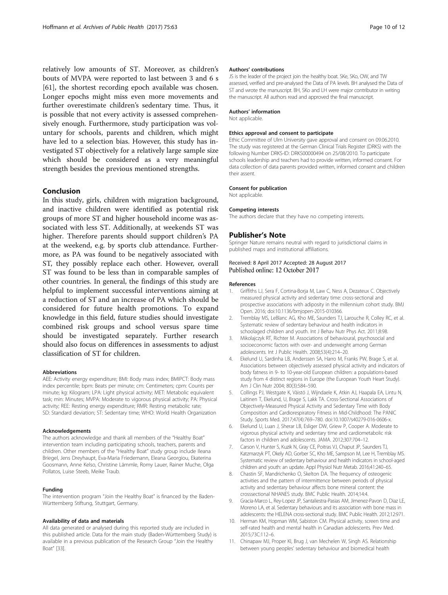<span id="page-9-0"></span>relatively low amounts of ST. Moreover, as children's bouts of MVPA were reported to last between 3 and 6 s [[61\]](#page-11-0), the shortest recording epoch available was chosen. Longer epochs might miss even more movements and further overestimate children's sedentary time. Thus, it is possible that not every activity is assessed comprehensively enough. Furthermore, study participation was voluntary for schools, parents and children, which might have led to a selection bias. However, this study has investigated ST objectively for a relatively large sample size which should be considered as a very meaningful strength besides the previous mentioned strengths.

## Conclusion

In this study, girls, children with migration background, and inactive children were identified as potential risk groups of more ST and higher household income was associated with less ST. Additionally, at weekends ST was higher. Therefore parents should support children's PA at the weekend, e.g. by sports club attendance. Furthermore, as PA was found to be negatively associated with ST, they possibly replace each other. However, overall ST was found to be less than in comparable samples of other countries. In general, the findings of this study are helpful to implement successful interventions aiming at a reduction of ST and an increase of PA which should be considered for future health promotions. To expand knowledge in this field, future studies should investigate combined risk groups and school versus spare time should be investigated separately. Further research should also focus on differences in assessments to adjust classification of ST for children.

#### Abbreviations

AEE: Activity energy expenditure; BMI: Body mass index; BMIPCT: Body mass index percentile; bpm: Beats per minute; cm: Centimeters; cpm: Counts per minute; kg: Kilogram; LPA: Light physical activity; MET: Metabolic equivalent task; min: Minutes; MVPA: Moderate to vigorous physical activity; PA: Physical activity; REE: Resting energy expenditure; RMR: Resting metabolic rate; SD: Standard deviation; ST: Sedentary time; WHO: World Health Organization

#### Acknowledgements

The authors acknowledge and thank all members of the "Healthy Boat" intervention team including participating schools, teachers, parents and children. Other members of the "Healthy Boat" study group include Ileana Briegel, Jens Dreyhaupt, Eva-Maria Friedemann, Eleana Georgiou, Ekaterina Goosmann, Anne Kelso, Christine Lämmle, Romy Lauer, Rainer Muche, Olga Pollatos, Luise Steeb, Meike Traub.

#### Funding

The intervention program "Join the Healthy Boat" is financed by the Baden-Württemberg Stiftung, Stuttgart, Germany.

#### Availability of data and materials

All data generated or analysed during this reported study are included in this published article. Data for the main study (Baden-Württemberg Study) is available in a previous publication of the Research Group "Join the Healthy Boat" [\[33\]](#page-10-0).

#### Authors' contributions

JS is the leader of the project join the healthy boat. SKe, SKo, OW, and TW assessed, verified and pre-analysed the Data of PA levels. BH analysed the Data of ST and wrote the manuscript. BH, SKo and LH were major contributor in writing the manuscript. All authors read and approved the final manuscript.

#### Authors' information

Not applicable.

#### Ethics approval and consent to participate

Ethic Committee of Ulm University gave approval and consent on 09.06.2010. The study was registered at the German Clinical Trials Register (DRKS) with the following Number DRKS-ID: DRKS00000494 on 25/08/2010. To participate schools leadership and teachers had to provide written, informed consent. For data collection of data parents provided written, informed consent and children their assent.

#### Consent for publication

Not applicable.

#### Competing interests

The authors declare that they have no competing interests.

#### Publisher's Note

Springer Nature remains neutral with regard to jurisdictional claims in published maps and institutional affiliations.

#### Received: 8 April 2017 Accepted: 28 August 2017 Published online: 12 October 2017

#### References

- 1. Griffiths LJ, Sera F, Cortina-Borja M, Law C, Ness A, Dezateux C. Objectively measured physical activity and sedentary time: cross-sectional and prospective associations with adiposity in the millennium cohort study. BMJ Open. 2016; [doi:10.1136/bmjopen-2015-010366.](http://dx.doi.org/10.1136/bmjopen-2015-010366)
- 2. Tremblay MS, LeBlanc AG, Kho ME, Saunders TJ, Larouche R, Colley RC, et al. Systematic review of sedentary behaviour and health indicators in schoolaged children and youth. Int J Behav Nutr Phys Act. 2011;8:98.
- 3. Mikolajczyk RT, Richter M. Associations of behavioural, psychosocial and socioeconomic factors with over- and underweight among German adolescents. Int J Public Health. 2008;53(4):214–20.
- 4. Ekelund U, Sardinha LB, Anderssen SA, Harro M, Franks PW, Brage S, et al. Associations between objectively assessed physical activity and indicators of body fatness in 9- to 10-year-old European children: a populations-based study from 4 distinct regions in Europe (the European Youth Heart Study). Am J Clin Nutr 2004; 80(3):584–590.
- 5. Collings PJ, Westgate K, Väistö J, Wijndaele K, Atkin AJ, Haapala EA, Lintu N, Laitinen T, Ekelund, U, Brage S, Lakk TA. Cross-Sectional Associations of Objectively-Measured Physical Activity and Sedentary Time with Body Composition and Cardiorespiratory Fitness in Mid-Childhood: The PANIC Study. Sports Med. 2017;47(4):769–780. doi:[10.1007/s40279-016-0606-x.](http://dx.doi.org/10.1007/s40279-016-0606-x)
- 6. Ekelund U, Luan J, Sherar LB, Esliger DW, Griew P, Cooper A. Moderate to vigorous physical activity and sedentary time and cardiometabolic risk factors in children and adolescents. JAMA. 2012;307:704–12.
- 7. Carson V, Hunter S, Kuzik N, Gray CE, Poitras VJ, Chaput JP, Saunders TJ, Katzmarzyk PT, Okely AD, Gorber SC, Kho ME, Sampson M, Lee H, Tremblay MS. Systematic review of sedentary behaviour and health indicators in school-aged children and youth: an update. Appl Physiol Nutr Metab. 2016;41:240–65.
- 8. Chastin SF, Mandrichenko O, Skelton DA. The frequency of osteogenic activities and the pattern of intermittence between periods of physical activity and sedentary behaviour affects bone mineral content: the crosssectional NHANES study. BMC Public Health. 2014;14:4.
- 9. Gracia-Marco L, Rey-Lopez JP, Santaliestra-Pasias AM, Jimenez-Pavon D, Diaz LE, Moreno LA, et al. Sedentary behaviours and its association with bone mass in adolescents: the HELENA cross-sectional study. BMC Public Health. 2012;12:971.
- 10. Herman KM, Hopman WM, Sabiston CM. Physical activity, screen time and self-rated health and mental health in Canadian adolescents. Prev Med. 2015;73C:112–6.
- 11. Chinapaw MJ, Proper KI, Brug J, van Mechelen W, Singh AS. Relationship between young peoples' sedentary behaviour and biomedical health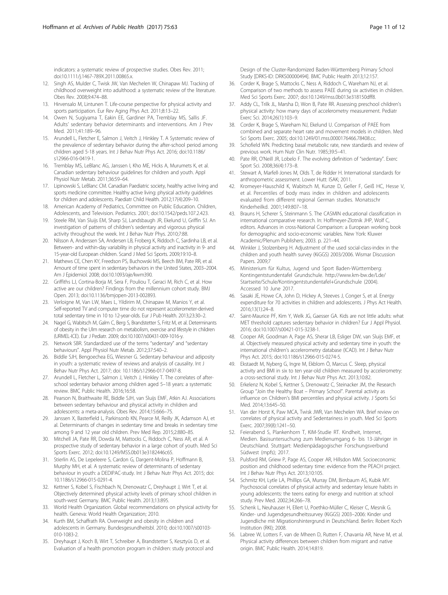<span id="page-10-0"></span>indicators: a systematic review of prospective studies. Obes Rev. 2011; doi[:10.1111/j.1467-789X.2011.00865.x.](http://dx.doi.org/10.1111/j.1467-789X.2011.00865.x)

- 12. Singh AS, Mulder C, Twisk JW, Van Mechelen W, Chinapaw MJ. Tracking of childhood overweight into adulthood: a systematic review of the literature. Obes Rev. 2008;9:474–88.
- 13. Hirvensalo M, Lintunen T. Life-course perspective for physical activity and sports participation. Eur Rev Aging Phys Act. 2011;8:13–22.
- 14. Owen N, Sugiyama T, Eakin EE, Gardiner PA, Tremblay MS, Sallis JF. Adults' sedentary behavior determinants and interventions. Am J Prev Med. 2011;41:189–96.
- 15. Arundell L, Fletcher E, Salmon J, Veitch J, Hinkley T. A Systematic review of the prevalence of sedentary behavior during the after-school period among children aged 5-18 years. Int J Behav Nutr Phys Act. 2016; doi:[10.1186/](http://dx.doi.org/10.1186/s12966-016-0419-1) [s12966-016-0419-1.](http://dx.doi.org/10.1186/s12966-016-0419-1)
- 16. Tremblay MS, LeBlanc AG, Janssen I, Kho ME, Hicks A, Murumets K, et al. Canadian sedentary behaviour guidelines for children and youth. Appl Physiol Nutr Metab. 2011;36:59–64.
- 17. Lipinowski S, LeBlanc CM. Canadian Paediatric society, healthy active living and sports medicine committee. Healthy active living: physical activity guidelines for children and adolescents. Paediatr Child Health. 2012;17(4):209–10.
- 18. American Academy of Pediatrics, Committee on Public Education. Children, Adolescents, and Television. Pediatrics. 2001; doi[:10.1542/peds.107.2.423](http://dx.doi.org/10.1542/peds.107.2.423).
- 19. Steele RM, Van Sluijs EM, Sharp SJ, Landsbaugh JR, Ekelund U, Griffin SJ. An investigation of patterns of children's sedentary and vigorous physical activity throughout the week. Int J Behav Nutr Phys. 2010;7:88.
- 20. Nilsson A, Anderssen SA, Andersen LB, Froberg K, Riddoch C, Sardinha LB, et al. Between- and within-day variability in physical activity and inactivity in 9- and 15-year-old European children. Scand J Med Sci Sports. 2009;19:10–8.
- 21. Mathews CE, Chen KY, Freedson PS, Buchowski MS, Beech BM, Pate RR, et al. Amount of time spent in sedentary behaviors in the United States, 2003–2004. Am J Epidemiol. 2008; doi:[10.1093/aje/kwm390.](http://dx.doi.org/10.1093/aje/kwm390)
- 22. Griffiths LJ, Cortina-Borja M, Sera F, Pouliou T, Geraci M, Rich C, et al. How active are our children? Findings from the millennium cohort study. BMJ Open. 2013; doi[:10.1136/bmjopen-2013-002893](http://dx.doi.org/10.1136/bmjopen-2013-002893).
- 23. Verloigne M, Van LW, Maes L, Yildirim M, Chinapaw M, Manios Y, et al. Self-reported TV and computer time do not represent accelerometer-derived total sedentary time in 10 to 12-year-olds. Eur J Pub Health. 2013;23:30–2.
- 24. Nagel G, Wabitsch M, Galm C, Berg S, Brandstetter S, Fritz M, et al. Determinants of obesity in the Ulm research on metabolism, exercise and lifestyle in children (URMEL-ICE). Eur J Pediatr. 2009; doi:[10.1007/s00431-009-1016-y.](http://dx.doi.org/10.1007/s00431-009-1016-y)
- 25. Network SBR. Standardized use of the terms "sedentary" and "sedentary behaviours". Appl Physiol Nutr Metab. 2012;37:540–2.
- 26. Biddle SJH, Bengoechea EG, Wiesner G. Sedentary behaviour and adiposity in youth: a systematic review of reviews and analysis of causality. Int J Behav Nutr Phys Act. 2017; doi: [10.1186/s12966-017-0497-8](http://dx.doi.org/10.1186/s12966-017-0497-8).
- 27. Arundell L, Fletcher L, Salmon J, Veitch J, Hinkley T. The correlates of afterschool sedentary behavior among children aged 5–18 years: a systematic review. BMC Public Health. 2016;16:58.
- 28. Pearson N, Braithwaite RE, Biddle SJH, van Sluijs EMF, Atkin AJ. Associations between sedentary behaviour and physical activity in children and adolescents: a meta-analysis. Obes Rev. 2014;15:666–75.
- 29. Janssen X, Basterfield L, Parkinsonb KN, Pearce M, Reilly JK, Adamson AJ, et al. Determinants of changes in sedentary time and breaks in sedentary time among 9 and 12 year old children. Prev Med Rep. 2015;2:880–85.
- 30. Mitchell JA, Pate RR, Dowda M, Mattocks C, Riddoch C, Ness AR, et al. A prospective study of sedentary behavior in a large cohort of youth. Med Sci Sports Exerc. 2012; doi[:10.1249/MSS.0b013e3182446c65](http://dx.doi.org/10.1249/MSS.0b013e3182446c65).
- 31. Stierlin AS, De Lepeleere S, Cardon G, Dargent-Molina P, Hoffmann B, Murphy MH, et al. A systematic review of determinants of sedentary behaviour in youth: a DEDIPAC-study. Int J Behav Nutr Phys Act. 2015; doi: [10.1186/s12966-015-0291-4.](http://dx.doi.org/10.1186/s12966-015-0291-4)
- 32. Kettner S, Kobel S, Fischbach N, Drenowatz C, Dreyhaupt J, Wirt T, et al. Objectively determined physical activity levels of primary school children in south-west Germany. BMC Public Health. 2013;13:895.
- 33. World Health Organization. Global recommendations on physical activity for health. Geneva: World Health Organization; 2010.
- 34. Kurth BM, Schaffrath RA. Overweight and obesity in children and adolescents in Germany. Bundesgesundheitsbl. 2010; doi[:10.1007/s00103-](http://dx.doi.org/10.1007/s00103-010-1083-2) [010-1083-2](http://dx.doi.org/10.1007/s00103-010-1083-2).
- 35. Dreyhaupt J, Koch B, Wirt T, Schreiber A, Brandstetter S, Kesztyüs D, et al. Evaluation of a health promotion program in children: study protocol and

Design of the Cluster-Randomized Baden-Württemberg Primary School Study [DRKS-ID: DRKS00000494]. BMC Public Health 2013;12:157.

- 36. Corder K, Brage S, Mattocks C, Ness A, Riddoch C, Wareham NJ, et al. Comparison of two methods to assess PAEE during six activities in children. Med Sci Sports Exerc. 2007; doi:[10.1249/mss.0b013e318150dff8.](http://dx.doi.org/10.1249/mss.0b013e318150dff8)
- 37. Addy CL, Trilk JL, Marsha D, Won B, Pate RR. Assessing preschool children's physical activity: how many days of accelerometry measurement. Pediatr Exerc Sci. 2014;26(1):103–9.
- 38. Corder K, Brage S, Wareham NJ, Ekelund U. Comparison of PAEE from combined and separate heart rate and movement models in children. Med Sci Sports Exerc. 2005; doi[:10.1249/01.mss.0000176466.78408.cc](http://dx.doi.org/10.1249/01.mss.0000176466.78408.cc).
- 39. Schofield WN. Predicting basal metabolic rate, new standards and review of previous work. Hum Nutr Clin Nutr. 1985;39:5–41.
- 40. Pate RR, O'Neill JR, Lobelo F. The evolving definition of "sedentary". Exerc Sport Sci. 2008;36(4):173–8.
- 41. Stewart A, Marfell-Jones M, Olds T, de Ridder H. International standards for anthropometric assessment. Lower Hutt: ISAK; 2011.
- 42. Kromeyer-Hauschild K, Wabitsch M, Kunze D, Geller F, Geiß HC, Hesse V, et al. Percentiles of body mass index in children and adolescents evaluated from different regional German studies. Monatsschr Kinderheilkd. 2001;149:807–18.
- 43. Brauns H, Scherer S, Steinmann S. The CASMIN educational classification in international comparative research. In: Hoffmeyer-Zlotnik JHP, Wolf C, editors. Advances in cross-National Comparison: a European working book for demographic and socio-economic variables. New York: Kluwer Academic/Plenum Publishers; 2003. p. 221–44.
- 44. Winkler J, Stolzenberg H. Adjustment of the used social-class-index in the children and youth health survey (KiGGS) 2003/2006. Wismar Discussion Papers. 2009;7
- 45. Ministerium für Kultus, Jugend und Sport Baden-Württemberg: Kontingentstundentafel Grundschule. [http://www.km-bw.de/Lde/](http://www.km-bw.de/Lde/Startseite/Schule/Kontingentstundentafel+Grundschule) [Startseite/Schule/Kontingentstundentafel+Grundschule](http://www.km-bw.de/Lde/Startseite/Schule/Kontingentstundentafel+Grundschule) (2004). Accessed 10 June 2017.
- 46. Sasaki JE, Howe CA, John D, Hickey A, Steeves J, Conger S, et al. Energy expenditure for 70 activities in children and adolescents. J Phys Act Health. 2016;13(1):24–8.
- 47. Saint-Maurice PF, Kim Y, Welk JG, Gaesser GA. Kids are not little adults: what MET threshold captures sedentary behavior in children? Eur J Appl Physiol. 2016; doi[:10.1007/s00421-015-3238-1](http://dx.doi.org/10.1007/s00421-015-3238-1).
- 48. Cooper AR, Goodman A, Page AS, Sherar LB, Esliger DW, van Sluijs EMF, et al. Objectively measured physical activity and sedentary time in youth: the international children's accelerometry database (ICAD). Int J Behav Nutr Phys Act. 2015; doi:[10.1186/s12966-015-0274-5](http://dx.doi.org/10.1186/s12966-015-0274-5).
- 49. Ekstaedt M, Nyberg G, Ingre M, Ekblom Ö, Marcus C. Sleep, physical activity and BMI in six to ten year-old children measured by accelerometry: a cross-sectional study. Int J Behav Nutr Phys Act. 2013;10:82.
- 50. Erkelenz N, Kobel S, Kettner S, Drenowatz C, Steinacker JM, the Research Group "Join the Healthy Boat – Primary School". Parental activity as influence on Children's BMI percentiles and physical activity. J Sports Sci Med. 2014;13:645–50.
- 51. Van der Horst K, Paw MCA, Twisk JWR, Van Mechelen WA. Brief review on correlates of physical activity and Sedentariness in youth. Med Sci Sports Exerc. 2007;39(8):1241–50.
- 52. Feierabend S, Plankenhorn T, KIM-Studie RT. Kindheit, Internet, Medien. Basisuntersuchung zum Medienumgang 6- bis 13-Jähriger in Deutschland. Stuttgart: Medienpädagogischer Forschungsverbund Südwest (mpfs); 2017.
- 53. Pulsford RM, Griew P, Page AS, Cooper AR, Hillsdon MM. Socioeconomic position and childhood sedentary time: evidence from the PEACH project. Int J Behav Nutr Phys Act. 2013;10:105.
- 54. Schmitz KH, Lytle LA, Phillips GA, Murray DM, Birnbaum AS, Kubik MY. Psychosocial correlates of physical activity and sedentary leisure habits in young adolescents: the teens eating for energy and nutrition at school study. Prev Med. 2002;34:266–78.
- 55. Schenk L, Neuhauser H, Ellert U, Poethko-Müller C, Kleiser C, Mesnik G. Kinder- und Jugendgesundheitssurvey (KiGGS) 2003–2006: Kinder und Jugendliche mit Migrationshintergrund in Deutschland. Berlin: Robert Koch Institution (RKI); 2008.
- 56. Labree W, Lotters F, van de Mheen D, Rutten F, Chavarria AR, Neve M, et al. Physical activity differences between children from migrant and native origin. BMC Public Health. 2014;14:819.